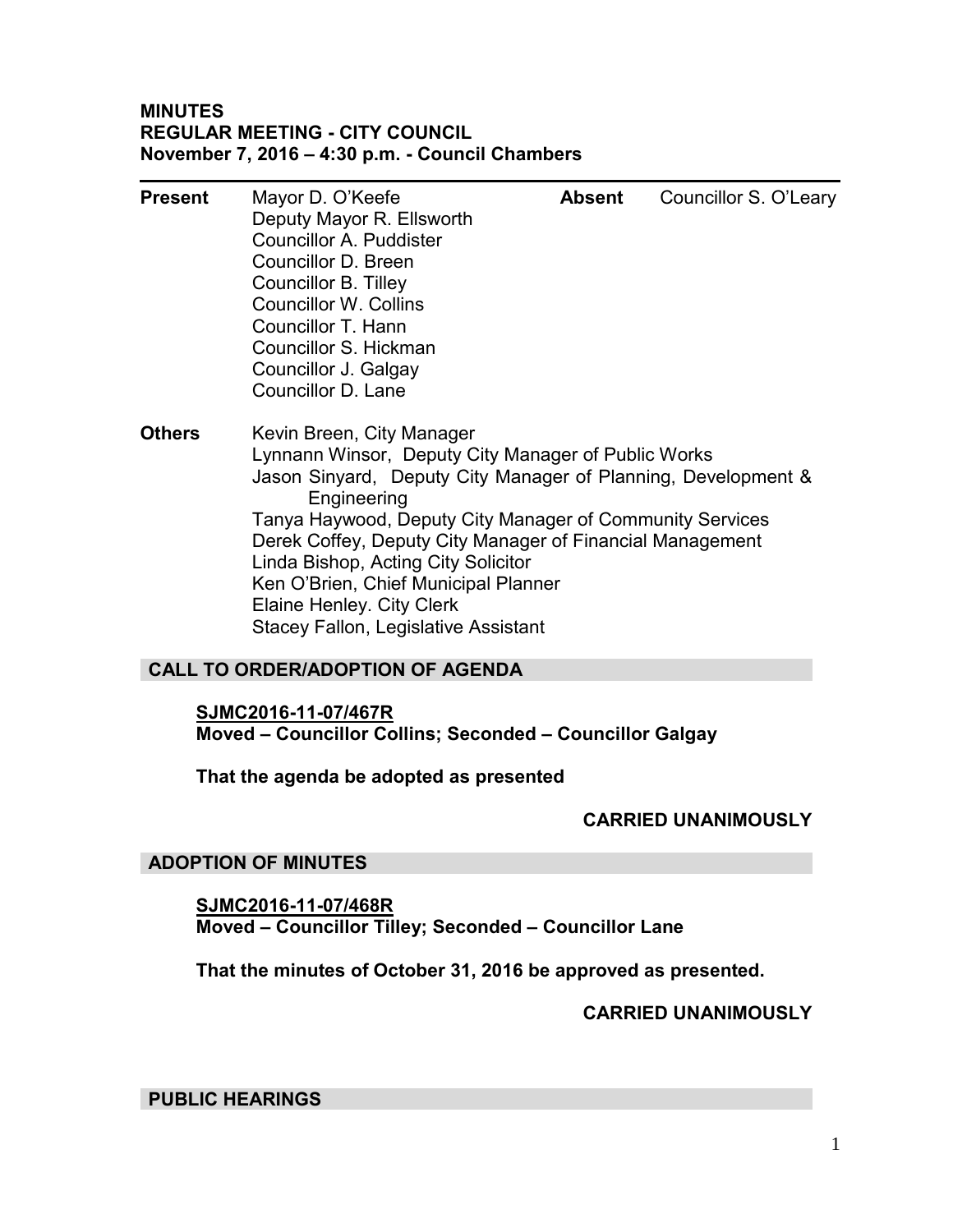## **MINUTES REGULAR MEETING - CITY COUNCIL November 7, 2016 – 4:30 p.m. - Council Chambers**

| <b>Present</b> | Mayor D. O'Keefe                                                             | <b>Absent</b> | Councillor S. O'Leary |  |  |  |  |
|----------------|------------------------------------------------------------------------------|---------------|-----------------------|--|--|--|--|
|                | Deputy Mayor R. Ellsworth                                                    |               |                       |  |  |  |  |
|                | Councillor A. Puddister                                                      |               |                       |  |  |  |  |
|                | Councillor D. Breen                                                          |               |                       |  |  |  |  |
|                | <b>Councillor B. Tilley</b>                                                  |               |                       |  |  |  |  |
|                | <b>Councillor W. Collins</b>                                                 |               |                       |  |  |  |  |
|                | Councillor T. Hann                                                           |               |                       |  |  |  |  |
|                | Councillor S. Hickman                                                        |               |                       |  |  |  |  |
|                | Councillor J. Galgay                                                         |               |                       |  |  |  |  |
|                | Councillor D. Lane                                                           |               |                       |  |  |  |  |
| <b>Others</b>  | Kevin Breen, City Manager                                                    |               |                       |  |  |  |  |
|                | Lynnann Winsor, Deputy City Manager of Public Works                          |               |                       |  |  |  |  |
|                | Jason Sinyard, Deputy City Manager of Planning, Development &<br>Engineering |               |                       |  |  |  |  |
|                | Tanya Haywood, Deputy City Manager of Community Services                     |               |                       |  |  |  |  |
|                | Derek Coffey, Deputy City Manager of Financial Management                    |               |                       |  |  |  |  |
|                |                                                                              |               |                       |  |  |  |  |

Linda Bishop, Acting City Solicitor Ken O'Brien, Chief Municipal Planner

Elaine Henley. City Clerk

Stacey Fallon, Legislative Assistant

## **CALL TO ORDER/ADOPTION OF AGENDA**

## **SJMC2016-11-07/467R**

**Moved – Councillor Collins; Seconded – Councillor Galgay** 

## **That the agenda be adopted as presented**

## **CARRIED UNANIMOUSLY**

## **ADOPTION OF MINUTES**

**SJMC2016-11-07/468R Moved – Councillor Tilley; Seconded – Councillor Lane** 

**That the minutes of October 31, 2016 be approved as presented.** 

## **CARRIED UNANIMOUSLY**

**PUBLIC HEARINGS**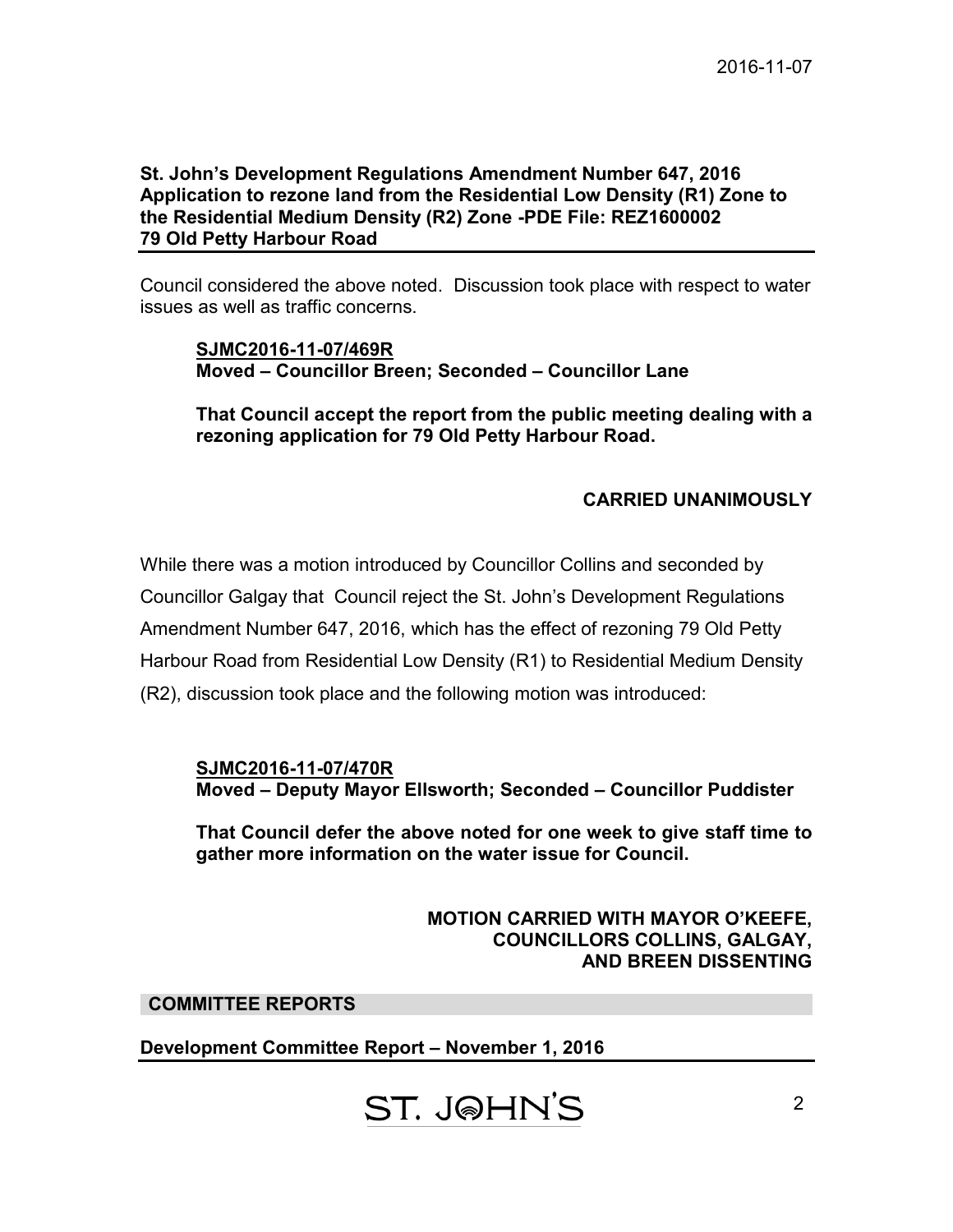## **St. John's Development Regulations Amendment Number 647, 2016 Application to rezone land from the Residential Low Density (R1) Zone to the Residential Medium Density (R2) Zone -PDE File: REZ1600002 79 Old Petty Harbour Road**

Council considered the above noted. Discussion took place with respect to water issues as well as traffic concerns.

**SJMC2016-11-07/469R Moved – Councillor Breen; Seconded – Councillor Lane** 

**That Council accept the report from the public meeting dealing with a rezoning application for 79 Old Petty Harbour Road.** 

## **CARRIED UNANIMOUSLY**

While there was a motion introduced by Councillor Collins and seconded by Councillor Galgay that Council reject the St. John's Development Regulations Amendment Number 647, 2016, which has the effect of rezoning 79 Old Petty Harbour Road from Residential Low Density (R1) to Residential Medium Density (R2), discussion took place and the following motion was introduced:

**SJMC2016-11-07/470R Moved – Deputy Mayor Ellsworth; Seconded – Councillor Puddister** 

**That Council defer the above noted for one week to give staff time to gather more information on the water issue for Council.** 

> **MOTION CARRIED WITH MAYOR O'KEEFE, COUNCILLORS COLLINS, GALGAY, AND BREEN DISSENTING**

## **COMMITTEE REPORTS**

**Development Committee Report – November 1, 2016** 

**ST. J@HN'S**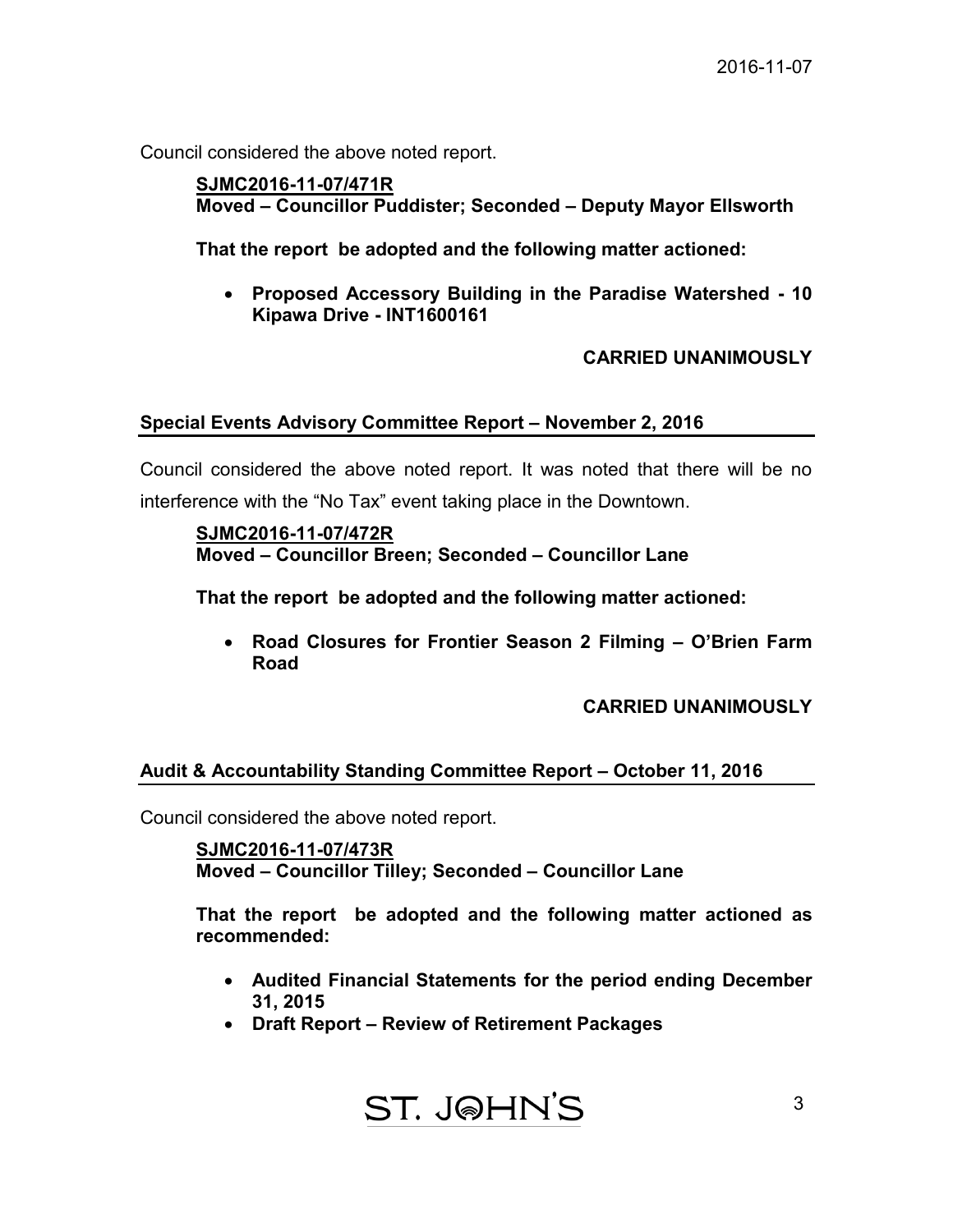Council considered the above noted report.

 **SJMC2016-11-07/471R Moved – Councillor Puddister; Seconded – Deputy Mayor Ellsworth** 

 **That the report be adopted and the following matter actioned:** 

 **Proposed Accessory Building in the Paradise Watershed - 10 Kipawa Drive - INT1600161** 

 **CARRIED UNANIMOUSLY** 

## **Special Events Advisory Committee Report – November 2, 2016**

Council considered the above noted report. It was noted that there will be no interference with the "No Tax" event taking place in the Downtown.

## **SJMC2016-11-07/472R Moved – Councillor Breen; Seconded – Councillor Lane**

 **That the report be adopted and the following matter actioned:** 

 **Road Closures for Frontier Season 2 Filming – O'Brien Farm Road**

 **CARRIED UNANIMOUSLY** 

## **Audit & Accountability Standing Committee Report – October 11, 2016**

Council considered the above noted report.

 **SJMC2016-11-07/473R Moved – Councillor Tilley; Seconded – Councillor Lane** 

 **That the report be adopted and the following matter actioned as recommended:** 

- **Audited Financial Statements for the period ending December 31, 2015**
- **Draft Report Review of Retirement Packages**

$$
\frac{ST. J\text{@HN'S}}{3}
$$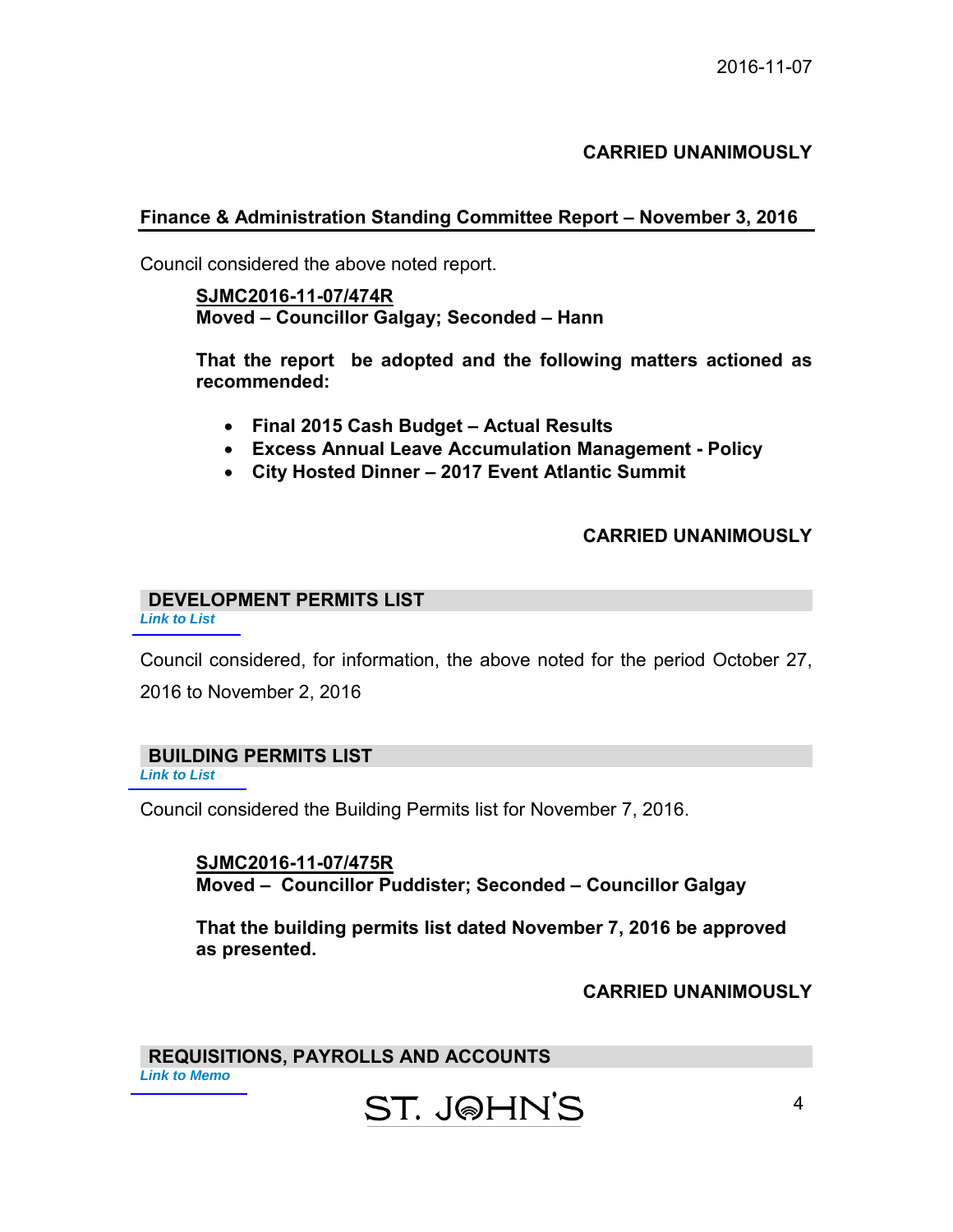## **CARRIED UNANIMOUSLY**

## **Finance & Administration Standing Committee Report – November 3, 2016**

Council considered the above noted report.

## **SJMC2016-11-07/474R Moved – Councillor Galgay; Seconded – Hann**

 **That the report be adopted and the following matters actioned as recommended:** 

- **Final 2015 Cash Budget Actual Results**
- **Excess Annual Leave Accumulation Management Policy**
- **City Hosted Dinner 2017 Event Atlantic Summit**

#### **CARRIED UNANIMOUSLY**

## **DEVELOPMENT PERMITS LIST**

*[Link to List](#page-7-0)* 

Council considered, for information, the above noted for the period October 27, 2016 to November 2, 2016

## **BUILDING PERMITS LIST**

*[Link to List](#page-8-0)* 

Council considered the Building Permits list for November 7, 2016.

**SJMC2016-11-07/475R Moved – Councillor Puddister; Seconded – Councillor Galgay** 

**That the building permits list dated November 7, 2016 be approved as presented.** 

#### **CARRIED UNANIMOUSLY**

**REQUISITIONS, PAYROLLS AND ACCOUNTS** *[Link to Memo](#page-10-0)* 

## ST. J@HN'S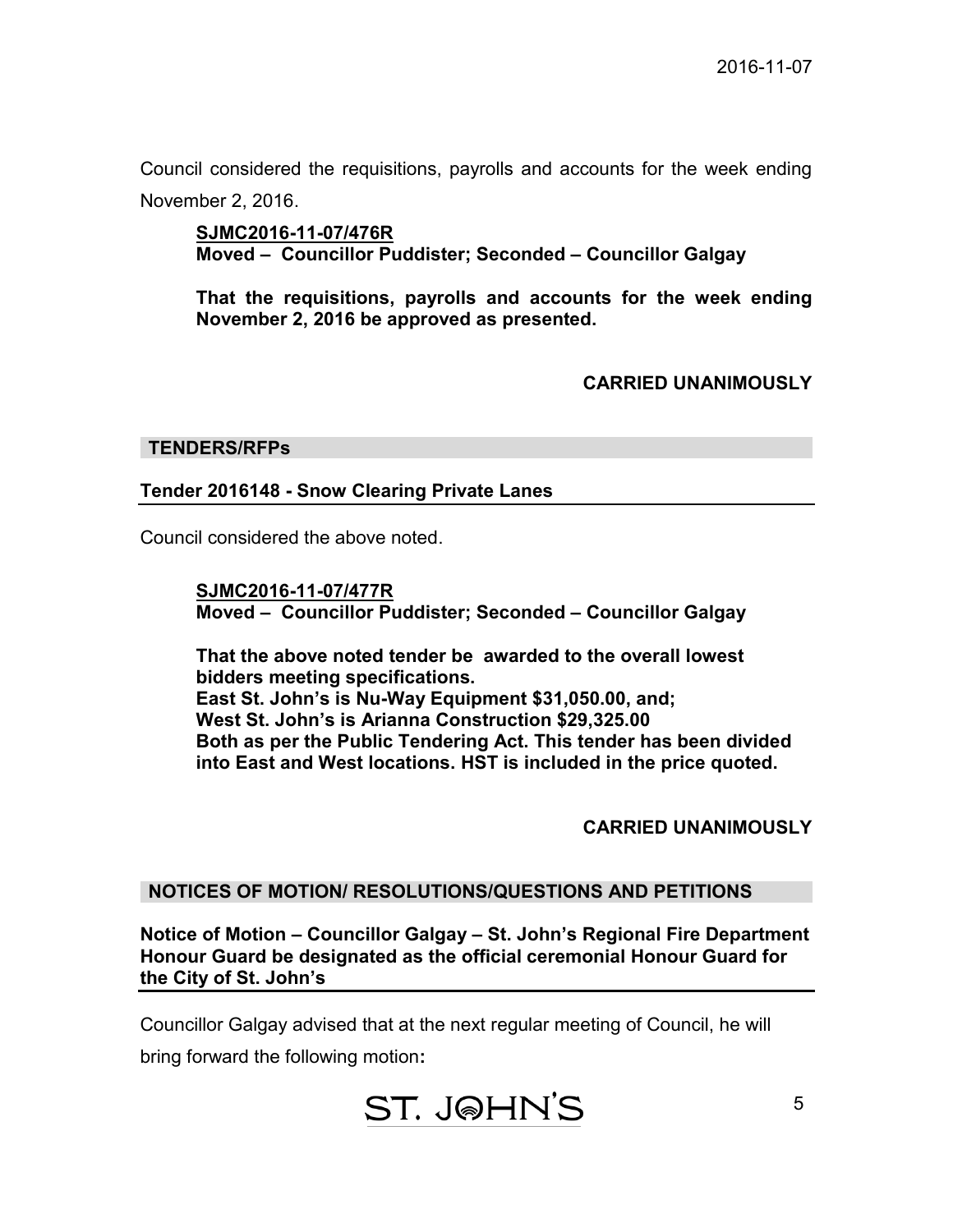Council considered the requisitions, payrolls and accounts for the week ending November 2, 2016.

**SJMC2016-11-07/476R Moved – Councillor Puddister; Seconded – Councillor Galgay** 

**That the requisitions, payrolls and accounts for the week ending November 2, 2016 be approved as presented.** 

## **CARRIED UNANIMOUSLY**

#### **TENDERS/RFPs**

#### **Tender 2016148 - Snow Clearing Private Lanes**

Council considered the above noted.

**SJMC2016-11-07/477R Moved – Councillor Puddister; Seconded – Councillor Galgay** 

 **That the above noted tender be awarded to the overall lowest bidders meeting specifications. East St. John's is Nu-Way Equipment \$31,050.00, and; West St. John's is Arianna Construction \$29,325.00 Both as per the Public Tendering Act. This tender has been divided into East and West locations. HST is included in the price quoted.** 

 **CARRIED UNANIMOUSLY** 

#### **NOTICES OF MOTION/ RESOLUTIONS/QUESTIONS AND PETITIONS**

**Notice of Motion – Councillor Galgay – St. John's Regional Fire Department Honour Guard be designated as the official ceremonial Honour Guard for the City of St. John's** 

Councillor Galgay advised that at the next regular meeting of Council, he will

bring forward the following motion**:**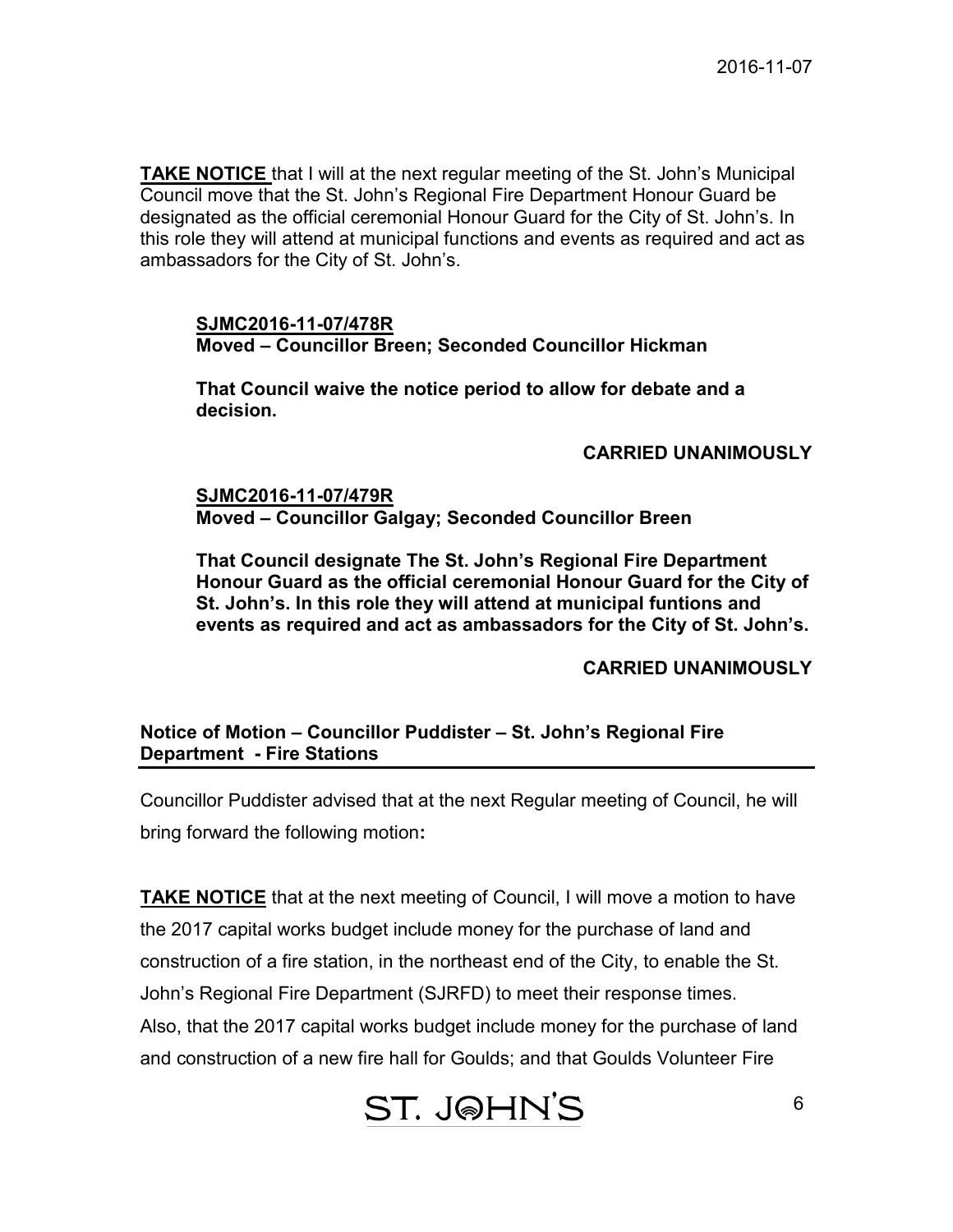**TAKE NOTICE** that I will at the next regular meeting of the St. John's Municipal Council move that the St. John's Regional Fire Department Honour Guard be designated as the official ceremonial Honour Guard for the City of St. John's. In this role they will attend at municipal functions and events as required and act as ambassadors for the City of St. John's.

#### **SJMC2016-11-07/478R Moved – Councillor Breen; Seconded Councillor Hickman**

**That Council waive the notice period to allow for debate and a decision.** 

## **CARRIED UNANIMOUSLY**

## **SJMC2016-11-07/479R Moved – Councillor Galgay; Seconded Councillor Breen**

**That Council designate The St. John's Regional Fire Department Honour Guard as the official ceremonial Honour Guard for the City of St. John's. In this role they will attend at municipal funtions and events as required and act as ambassadors for the City of St. John's.** 

## **CARRIED UNANIMOUSLY**

## **Notice of Motion – Councillor Puddister – St. John's Regional Fire Department - Fire Stations**

Councillor Puddister advised that at the next Regular meeting of Council, he will bring forward the following motion**:** 

**TAKE NOTICE** that at the next meeting of Council, I will move a motion to have the 2017 capital works budget include money for the purchase of land and construction of a fire station, in the northeast end of the City, to enable the St. John's Regional Fire Department (SJRFD) to meet their response times. Also, that the 2017 capital works budget include money for the purchase of land and construction of a new fire hall for Goulds; and that Goulds Volunteer Fire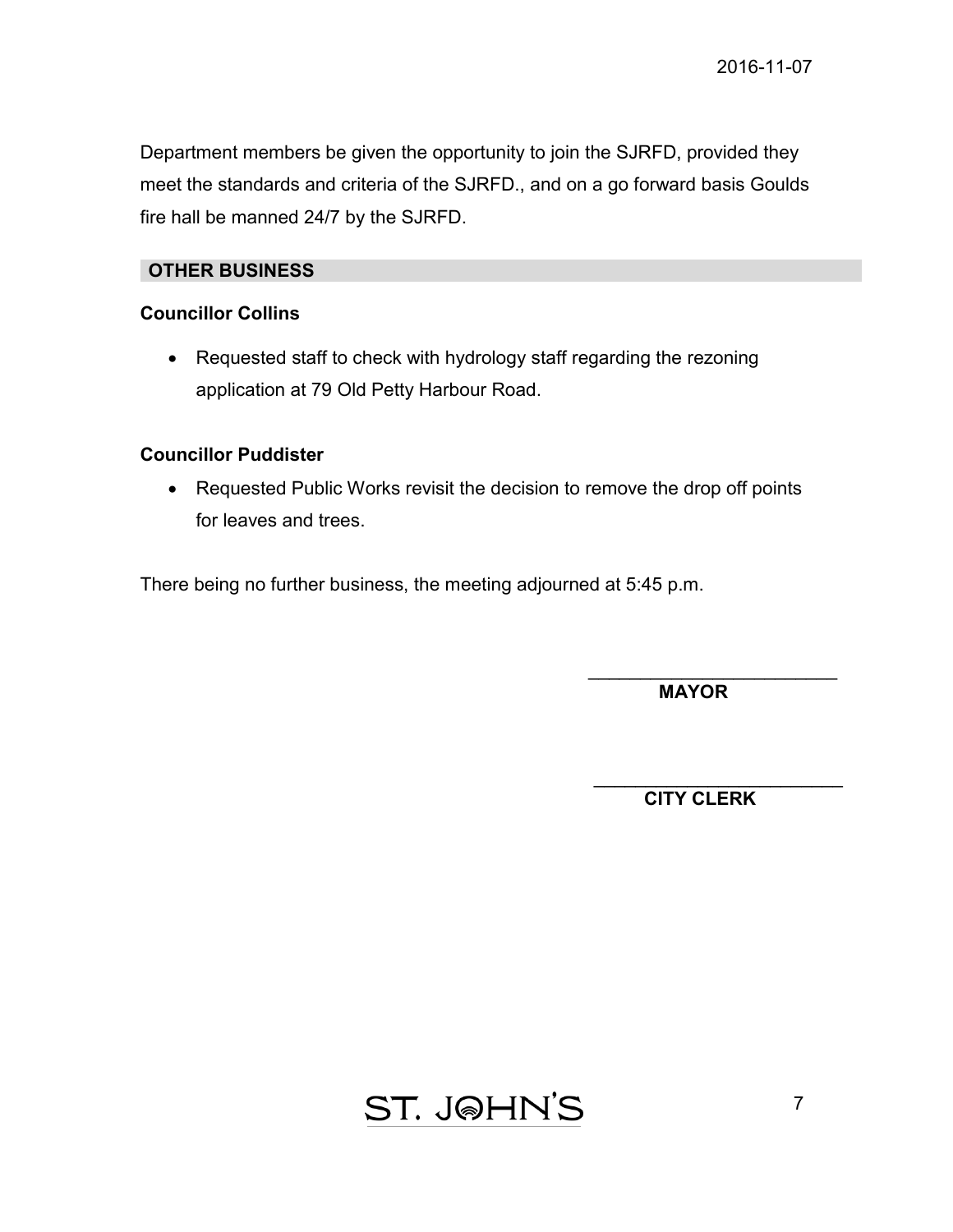Department members be given the opportunity to join the SJRFD, provided they meet the standards and criteria of the SJRFD., and on a go forward basis Goulds fire hall be manned 24/7 by the SJRFD.

## **OTHER BUSINESS**

## **Councillor Collins**

• Requested staff to check with hydrology staff regarding the rezoning application at 79 Old Petty Harbour Road.

## **Councillor Puddister**

• Requested Public Works revisit the decision to remove the drop off points for leaves and trees.

There being no further business, the meeting adjourned at 5:45 p.m.

\_\_\_\_\_\_\_\_\_\_\_\_\_\_\_\_\_\_\_\_\_\_\_\_  **MAYOR** 

\_\_\_\_\_\_\_\_\_\_\_\_\_\_\_\_\_\_\_\_\_\_\_\_ **CITY CLERK**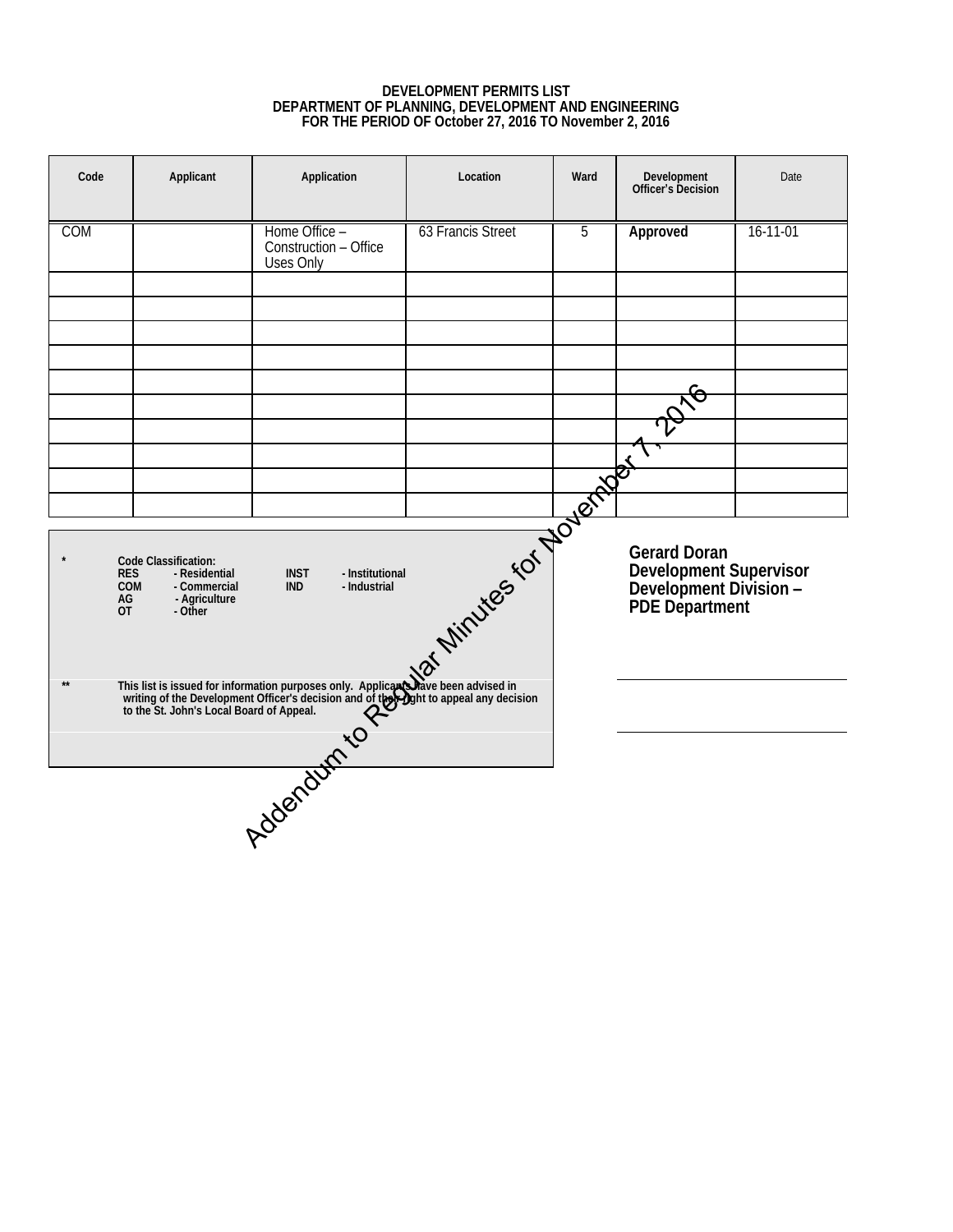#### **DEVELOPMENT PERMITS LIST DEPARTMENT OF PLANNING, DEVELOPMENT AND ENGINEERING FOR THE PERIOD OF October 27, 2016 TO November 2, 2016**

<span id="page-7-0"></span>

| Code                                                                                             | Applicant | Application                                         | Location          | Ward | Development<br>Officer's Decision                                  | Date           |  |
|--------------------------------------------------------------------------------------------------|-----------|-----------------------------------------------------|-------------------|------|--------------------------------------------------------------------|----------------|--|
| COM                                                                                              |           | Home Office -<br>Construction - Office<br>Uses Only | 63 Francis Street | 5    | Approved                                                           | $16 - 11 - 01$ |  |
|                                                                                                  |           |                                                     |                   |      |                                                                    |                |  |
|                                                                                                  |           |                                                     |                   |      |                                                                    |                |  |
|                                                                                                  |           |                                                     |                   |      |                                                                    |                |  |
|                                                                                                  |           |                                                     |                   |      |                                                                    |                |  |
|                                                                                                  |           |                                                     |                   |      |                                                                    |                |  |
|                                                                                                  |           |                                                     |                   |      |                                                                    |                |  |
|                                                                                                  |           |                                                     |                   |      |                                                                    |                |  |
| This list is issued for information purposes only. Applicate the Development Contract of Appeal. |           |                                                     |                   |      | Development Supervisor<br>Development Division -<br>PDE Department |                |  |
|                                                                                                  |           |                                                     |                   |      |                                                                    |                |  |
|                                                                                                  |           |                                                     |                   |      |                                                                    |                |  |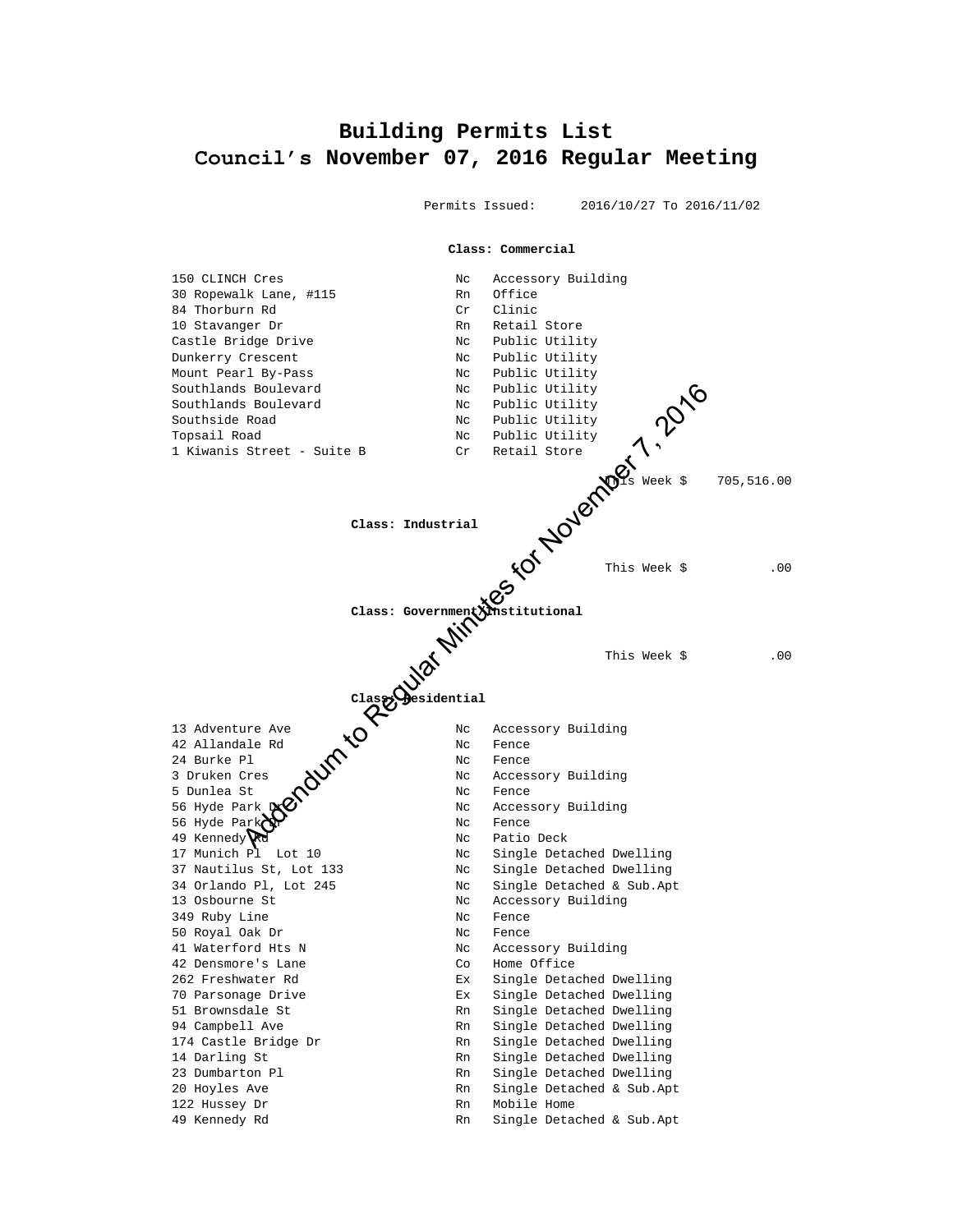## <span id="page-8-0"></span>**Building Permits List Council's November 07, 2016 Regular Meeting**

Permits Issued: 2016/10/27 To 2016/11/02

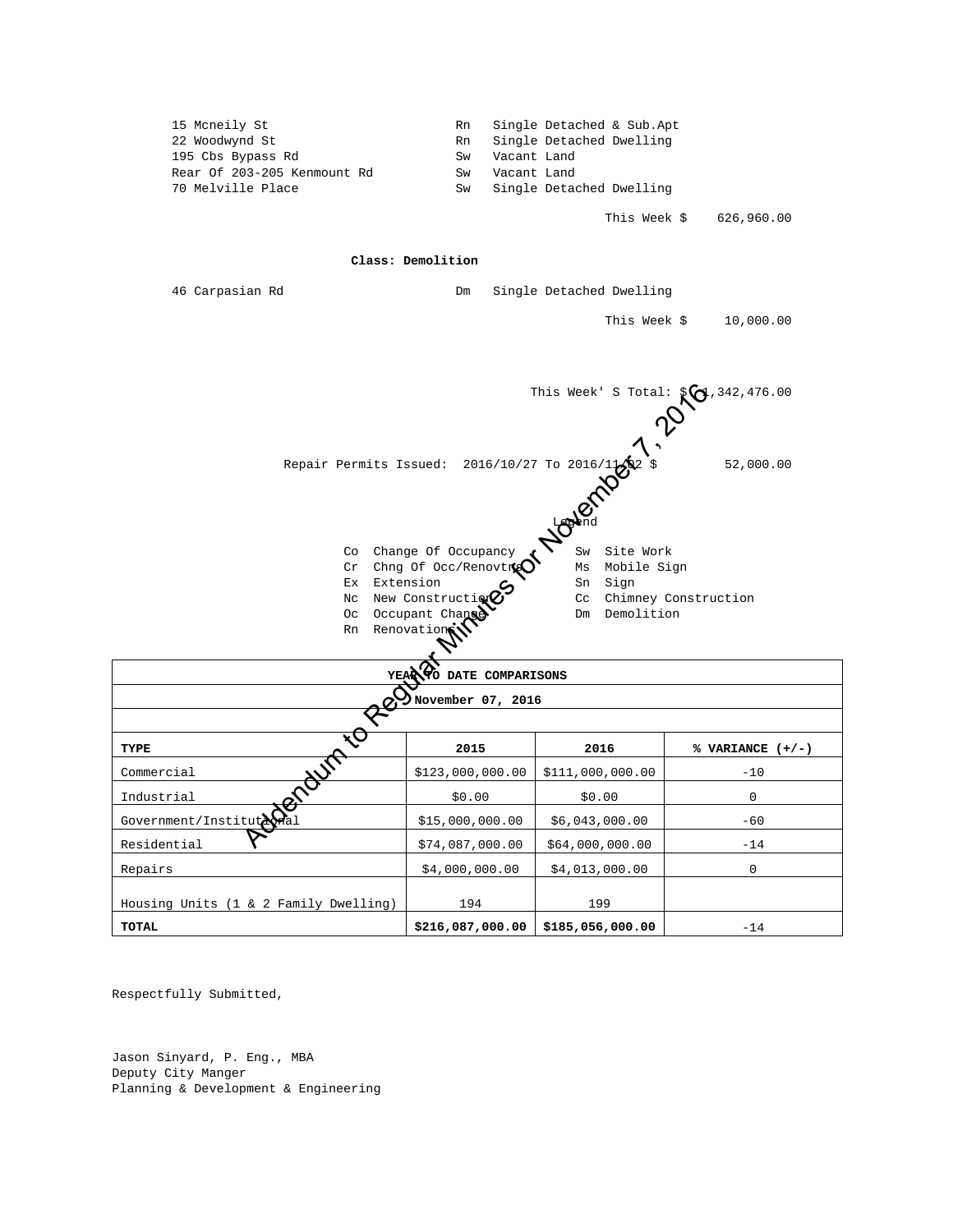

Respectfully Submitted,

Jason Sinyard, P. Eng., MBA Deputy City Manger Planning & Development & Engineering